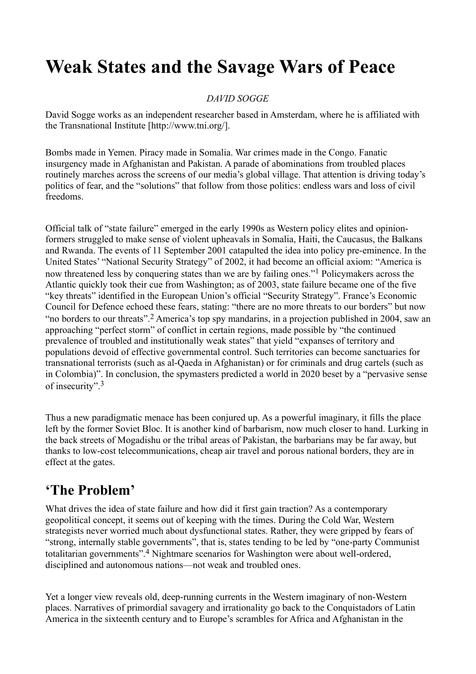# **Weak States and the Savage Wars of Peace**

### *DAVID SOGGE*

David Sogge works as an independent researcher based in Amsterdam, where he is affiliated with the Transnational Institute [http://www.tni.org/].

Bombs made in Yemen. Piracy made in Somalia. War crimes made in the Congo. Fanatic insurgency made in Afghanistan and Pakistan. A parade of abominations from troubled places routinely marches across the screens of our media's global village. That attention is driving today's politics of fear, and the "solutions" that follow from those politics: endless wars and loss of civil freedoms.

Official talk of "state failure" emerged in the early 1990s as Western policy elites and opinionformers struggled to make sense of violent upheavals in Somalia, Haiti, the Caucasus, the Balkans and Rwanda. The events of 11 September 2001 catapulted the idea into policy pre-eminence. In the United States' "National Security Strategy" of 2002, it had become an official axiom: "America is now threatened less by conquering states than we are by failing ones."<sup>1</sup> Policymakers across the Atlantic quickly took their cue from Washington; as of 2003, state failure became one of the five "key threats" identified in the European Union's official "Security Strategy". France's Economic Council for Defence echoed these fears, stating: "there are no more threats to our borders" but now "no borders to our threats".<sup>2</sup> America's top spy mandarins, in a projection published in 2004, saw an approaching "perfect storm" of conflict in certain regions, made possible by "the continued prevalence of troubled and institutionally weak states" that yield "expanses of territory and populations devoid of effective governmental control. Such territories can become sanctuaries for transnational terrorists (such as al-Qaeda in Afghanistan) or for criminals and drug cartels (such as in Colombia)". In conclusion, the spymasters predicted a world in 2020 beset by a "pervasive sense of insecurity".<sup>3</sup>

Thus a new paradigmatic menace has been conjured up. As a powerful imaginary, it fills the place left by the former Soviet Bloc. It is another kind of barbarism, now much closer to hand. Lurking in the back streets of Mogadishu or the tribal areas of Pakistan, the barbarians may be far away, but thanks to low-cost telecommunications, cheap air travel and porous national borders, they are in effect at the gates.

# **'The Problem'**

What drives the idea of state failure and how did it first gain traction? As a contemporary geopolitical concept, it seems out of keeping with the times. During the Cold War, Western strategists never worried much about dysfunctional states. Rather, they were gripped by fears of "strong, internally stable governments", that is, states tending to be led by "one-party Communist totalitarian governments".<sup>4</sup> Nightmare scenarios for Washington were about well-ordered, disciplined and autonomous nations—not weak and troubled ones.

Yet a longer view reveals old, deep-running currents in the Western imaginary of non-Western places. Narratives of primordial savagery and irrationality go back to the Conquistadors of Latin America in the sixteenth century and to Europe's scrambles for Africa and Afghanistan in the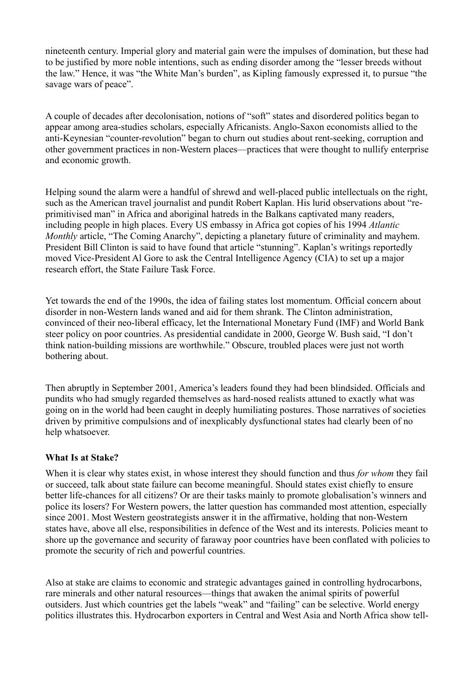nineteenth century. Imperial glory and material gain were the impulses of domination, but these had to be justified by more noble intentions, such as ending disorder among the "lesser breeds without the law." Hence, it was "the White Man's burden", as Kipling famously expressed it, to pursue "the savage wars of peace".

A couple of decades after decolonisation, notions of "soft" states and disordered politics began to appear among area-studies scholars, especially Africanists. Anglo-Saxon economists allied to the anti-Keynesian "counter-revolution" began to churn out studies about rent-seeking, corruption and other government practices in non-Western places—practices that were thought to nullify enterprise and economic growth.

Helping sound the alarm were a handful of shrewd and well-placed public intellectuals on the right, such as the American travel journalist and pundit Robert Kaplan. His lurid observations about "reprimitivised man" in Africa and aboriginal hatreds in the Balkans captivated many readers, including people in high places. Every US embassy in Africa got copies of his 1994 *Atlantic Monthly* article, "The Coming Anarchy", depicting a planetary future of criminality and mayhem. President Bill Clinton is said to have found that article "stunning". Kaplan's writings reportedly moved Vice-President Al Gore to ask the Central Intelligence Agency (CIA) to set up a major research effort, the State Failure Task Force.

Yet towards the end of the 1990s, the idea of failing states lost momentum. Official concern about disorder in non-Western lands waned and aid for them shrank. The Clinton administration, convinced of their neo-liberal efficacy, let the International Monetary Fund (IMF) and World Bank steer policy on poor countries. As presidential candidate in 2000, George W. Bush said, "I don't think nation-building missions are worthwhile." Obscure, troubled places were just not worth bothering about.

Then abruptly in September 2001, America's leaders found they had been blindsided. Officials and pundits who had smugly regarded themselves as hard-nosed realists attuned to exactly what was going on in the world had been caught in deeply humiliating postures. Those narratives of societies driven by primitive compulsions and of inexplicably dysfunctional states had clearly been of no help whatsoever.

#### **What Is at Stake?**

When it is clear why states exist, in whose interest they should function and thus *for whom* they fail or succeed, talk about state failure can become meaningful. Should states exist chiefly to ensure better life-chances for all citizens? Or are their tasks mainly to promote globalisation's winners and police its losers? For Western powers, the latter question has commanded most attention, especially since 2001. Most Western geostrategists answer it in the affirmative, holding that non-Western states have, above all else, responsibilities in defence of the West and its interests. Policies meant to shore up the governance and security of faraway poor countries have been conflated with policies to promote the security of rich and powerful countries.

Also at stake are claims to economic and strategic advantages gained in controlling hydrocarbons, rare minerals and other natural resources—things that awaken the animal spirits of powerful outsiders. Just which countries get the labels "weak" and "failing" can be selective. World energy politics illustrates this. Hydrocarbon exporters in Central and West Asia and North Africa show tell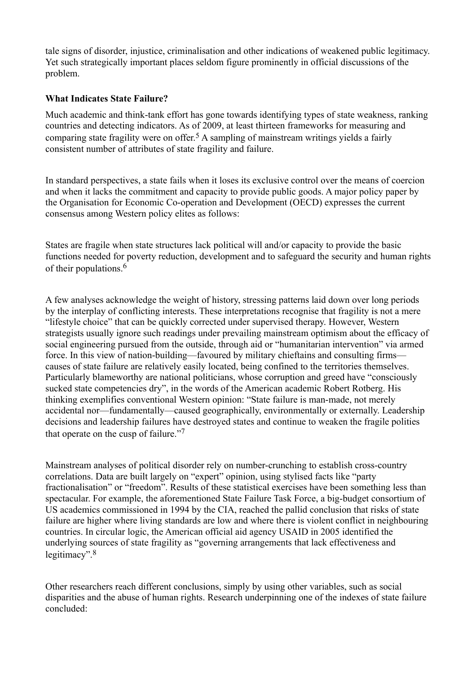tale signs of disorder, injustice, criminalisation and other indications of weakened public legitimacy. Yet such strategically important places seldom figure prominently in official discussions of the problem.

#### **What Indicates State Failure?**

Much academic and think-tank effort has gone towards identifying types of state weakness, ranking countries and detecting indicators. As of 2009, at least thirteen frameworks for measuring and comparing state fragility were on offer.<sup>5</sup> A sampling of mainstream writings yields a fairly consistent number of attributes of state fragility and failure.

In standard perspectives, a state fails when it loses its exclusive control over the means of coercion and when it lacks the commitment and capacity to provide public goods. A major policy paper by the Organisation for Economic Co-operation and Development (OECD) expresses the current consensus among Western policy elites as follows:

States are fragile when state structures lack political will and/or capacity to provide the basic functions needed for poverty reduction, development and to safeguard the security and human rights of their populations  $6$ 

A few analyses acknowledge the weight of history, stressing patterns laid down over long periods by the interplay of conflicting interests. These interpretations recognise that fragility is not a mere "lifestyle choice" that can be quickly corrected under supervised therapy. However, Western strategists usually ignore such readings under prevailing mainstream optimism about the efficacy of social engineering pursued from the outside, through aid or "humanitarian intervention" via armed force. In this view of nation-building—favoured by military chieftains and consulting firms causes of state failure are relatively easily located, being confined to the territories themselves. Particularly blameworthy are national politicians, whose corruption and greed have "consciously sucked state competencies dry", in the words of the American academic Robert Rotberg. His thinking exemplifies conventional Western opinion: "State failure is man-made, not merely accidental nor—fundamentally—caused geographically, environmentally or externally. Leadership decisions and leadership failures have destroyed states and continue to weaken the fragile polities that operate on the cusp of failure."<sup>7</sup>

Mainstream analyses of political disorder rely on number-crunching to establish cross-country correlations. Data are built largely on "expert" opinion, using stylised facts like "party fractionalisation" or "freedom". Results of these statistical exercises have been something less than spectacular. For example, the aforementioned State Failure Task Force, a big-budget consortium of US academics commissioned in 1994 by the CIA, reached the pallid conclusion that risks of state failure are higher where living standards are low and where there is violent conflict in neighbouring countries. In circular logic, the American official aid agency USAID in 2005 identified the underlying sources of state fragility as "governing arrangements that lack effectiveness and legitimacy".<sup>8</sup>

Other researchers reach different conclusions, simply by using other variables, such as social disparities and the abuse of human rights. Research underpinning one of the indexes of state failure concluded: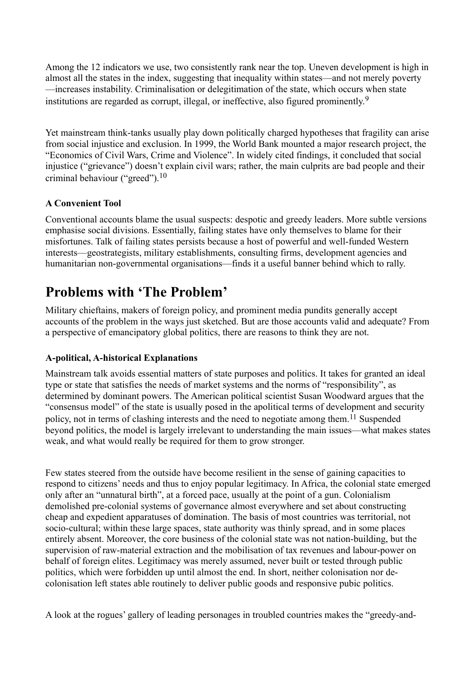Among the 12 indicators we use, two consistently rank near the top. Uneven development is high in almost all the states in the index, suggesting that inequality within states—and not merely poverty —increases instability. Criminalisation or delegitimation of the state, which occurs when state institutions are regarded as corrupt, illegal, or ineffective, also figured prominently.<sup>9</sup>

Yet mainstream think-tanks usually play down politically charged hypotheses that fragility can arise from social injustice and exclusion. In 1999, the World Bank mounted a major research project, the "Economics of Civil Wars, Crime and Violence". In widely cited findings, it concluded that social injustice ("grievance") doesn't explain civil wars; rather, the main culprits are bad people and their criminal behaviour ("greed").<sup>10</sup>

### **A Convenient Tool**

Conventional accounts blame the usual suspects: despotic and greedy leaders. More subtle versions emphasise social divisions. Essentially, failing states have only themselves to blame for their misfortunes. Talk of failing states persists because a host of powerful and well-funded Western interests—geostrategists, military establishments, consulting firms, development agencies and humanitarian non-governmental organisations—finds it a useful banner behind which to rally.

# **Problems with 'The Problem'**

Military chieftains, makers of foreign policy, and prominent media pundits generally accept accounts of the problem in the ways just sketched. But are those accounts valid and adequate? From a perspective of emancipatory global politics, there are reasons to think they are not.

# **A-political, A-historical Explanations**

Mainstream talk avoids essential matters of state purposes and politics. It takes for granted an ideal type or state that satisfies the needs of market systems and the norms of "responsibility", as determined by dominant powers. The American political scientist Susan Woodward argues that the "consensus model" of the state is usually posed in the apolitical terms of development and security policy, not in terms of clashing interests and the need to negotiate among them.<sup>11</sup> Suspended beyond politics, the model is largely irrelevant to understanding the main issues—what makes states weak, and what would really be required for them to grow stronger.

Few states steered from the outside have become resilient in the sense of gaining capacities to respond to citizens' needs and thus to enjoy popular legitimacy. In Africa, the colonial state emerged only after an "unnatural birth", at a forced pace, usually at the point of a gun. Colonialism demolished pre-colonial systems of governance almost everywhere and set about constructing cheap and expedient apparatuses of domination. The basis of most countries was territorial, not socio-cultural; within these large spaces, state authority was thinly spread, and in some places entirely absent. Moreover, the core business of the colonial state was not nation-building, but the supervision of raw-material extraction and the mobilisation of tax revenues and labour-power on behalf of foreign elites. Legitimacy was merely assumed, never built or tested through public politics, which were forbidden up until almost the end. In short, neither colonisation nor decolonisation left states able routinely to deliver public goods and responsive pubic politics.

A look at the rogues' gallery of leading personages in troubled countries makes the "greedy-and-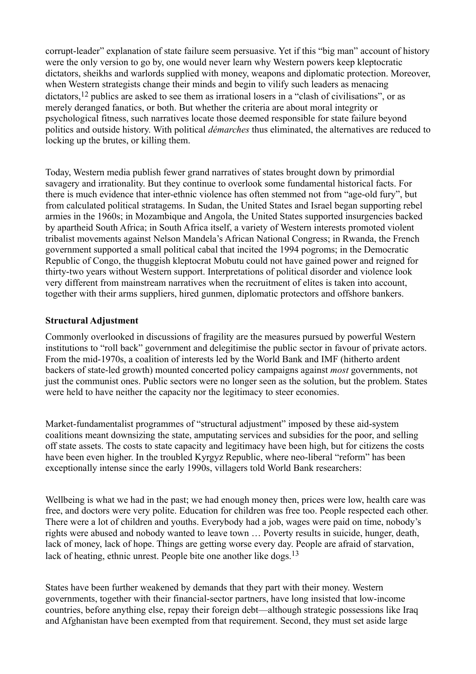corrupt-leader" explanation of state failure seem persuasive. Yet if this "big man" account of history were the only version to go by, one would never learn why Western powers keep kleptocratic dictators, sheikhs and warlords supplied with money, weapons and diplomatic protection. Moreover, when Western strategists change their minds and begin to vilify such leaders as menacing dictators,<sup>12</sup> publics are asked to see them as irrational losers in a "clash of civilisations", or as merely deranged fanatics, or both. But whether the criteria are about moral integrity or psychological fitness, such narratives locate those deemed responsible for state failure beyond politics and outside history. With political *démarches* thus eliminated, the alternatives are reduced to locking up the brutes, or killing them.

Today, Western media publish fewer grand narratives of states brought down by primordial savagery and irrationality. But they continue to overlook some fundamental historical facts. For there is much evidence that inter-ethnic violence has often stemmed not from "age-old fury", but from calculated political stratagems. In Sudan, the United States and Israel began supporting rebel armies in the 1960s; in Mozambique and Angola, the United States supported insurgencies backed by apartheid South Africa; in South Africa itself, a variety of Western interests promoted violent tribalist movements against Nelson Mandela's African National Congress; in Rwanda, the French government supported a small political cabal that incited the 1994 pogroms; in the Democratic Republic of Congo, the thuggish kleptocrat Mobutu could not have gained power and reigned for thirty-two years without Western support. Interpretations of political disorder and violence look very different from mainstream narratives when the recruitment of elites is taken into account, together with their arms suppliers, hired gunmen, diplomatic protectors and offshore bankers.

#### **Structural Adjustment**

Commonly overlooked in discussions of fragility are the measures pursued by powerful Western institutions to "roll back" government and delegitimise the public sector in favour of private actors. From the mid-1970s, a coalition of interests led by the World Bank and IMF (hitherto ardent backers of state-led growth) mounted concerted policy campaigns against *most* governments, not just the communist ones. Public sectors were no longer seen as the solution, but the problem. States were held to have neither the capacity nor the legitimacy to steer economies.

Market-fundamentalist programmes of "structural adjustment" imposed by these aid-system coalitions meant downsizing the state, amputating services and subsidies for the poor, and selling off state assets. The costs to state capacity and legitimacy have been high, but for citizens the costs have been even higher. In the troubled Kyrgyz Republic, where neo-liberal "reform" has been exceptionally intense since the early 1990s, villagers told World Bank researchers:

Wellbeing is what we had in the past; we had enough money then, prices were low, health care was free, and doctors were very polite. Education for children was free too. People respected each other. There were a lot of children and youths. Everybody had a job, wages were paid on time, nobody's rights were abused and nobody wanted to leave town … Poverty results in suicide, hunger, death, lack of money, lack of hope. Things are getting worse every day. People are afraid of starvation, lack of heating, ethnic unrest. People bite one another like dogs.<sup>13</sup>

States have been further weakened by demands that they part with their money. Western governments, together with their financial-sector partners, have long insisted that low-income countries, before anything else, repay their foreign debt—although strategic possessions like Iraq and Afghanistan have been exempted from that requirement. Second, they must set aside large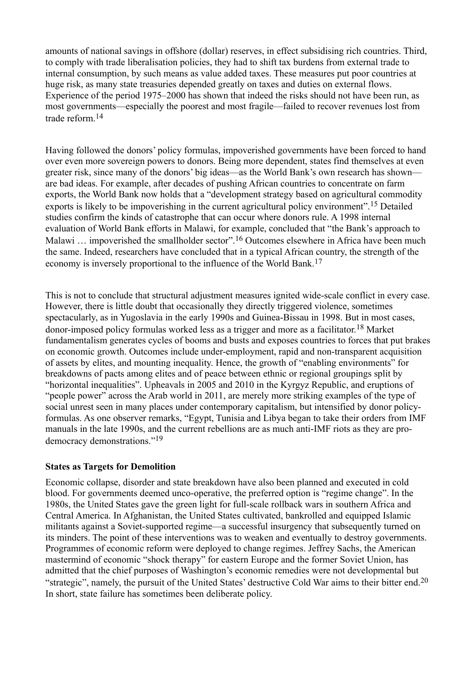amounts of national savings in offshore (dollar) reserves, in effect subsidising rich countries. Third, to comply with trade liberalisation policies, they had to shift tax burdens from external trade to internal consumption, by such means as value added taxes. These measures put poor countries at huge risk, as many state treasuries depended greatly on taxes and duties on external flows. Experience of the period 1975–2000 has shown that indeed the risks should not have been run, as most governments—especially the poorest and most fragile—failed to recover revenues lost from trade reform.<sup>14</sup>

Having followed the donors' policy formulas, impoverished governments have been forced to hand over even more sovereign powers to donors. Being more dependent, states find themselves at even greater risk, since many of the donors' big ideas—as the World Bank's own research has shown are bad ideas. For example, after decades of pushing African countries to concentrate on farm exports, the World Bank now holds that a "development strategy based on agricultural commodity exports is likely to be impoverishing in the current agricultural policy environment".<sup>15</sup> Detailed studies confirm the kinds of catastrophe that can occur where donors rule. A 1998 internal evaluation of World Bank efforts in Malawi, for example, concluded that "the Bank's approach to Malawi ... impoverished the smallholder sector".<sup>16</sup> Outcomes elsewhere in Africa have been much the same. Indeed, researchers have concluded that in a typical African country, the strength of the economy is inversely proportional to the influence of the World Bank.<sup>17</sup>

This is not to conclude that structural adjustment measures ignited wide-scale conflict in every case. However, there is little doubt that occasionally they directly triggered violence, sometimes spectacularly, as in Yugoslavia in the early 1990s and Guinea-Bissau in 1998. But in most cases, donor-imposed policy formulas worked less as a trigger and more as a facilitator.18 Market fundamentalism generates cycles of booms and busts and exposes countries to forces that put brakes on economic growth. Outcomes include under-employment, rapid and non-transparent acquisition of assets by elites, and mounting inequality. Hence, the growth of "enabling environments" for breakdowns of pacts among elites and of peace between ethnic or regional groupings split by "horizontal inequalities". Upheavals in 2005 and 2010 in the Kyrgyz Republic, and eruptions of "people power" across the Arab world in 2011, are merely more striking examples of the type of social unrest seen in many places under contemporary capitalism, but intensified by donor policyformulas. As one observer remarks, "Egypt, Tunisia and Libya began to take their orders from IMF manuals in the late 1990s, and the current rebellions are as much anti-IMF riots as they are prodemocracy demonstrations."<sup>19</sup>

#### **States as Targets for Demolition**

Economic collapse, disorder and state breakdown have also been planned and executed in cold blood. For governments deemed unco-operative, the preferred option is "regime change". In the 1980s, the United States gave the green light for full-scale rollback wars in southern Africa and Central America. In Afghanistan, the United States cultivated, bankrolled and equipped Islamic militants against a Soviet-supported regime—a successful insurgency that subsequently turned on its minders. The point of these interventions was to weaken and eventually to destroy governments. Programmes of economic reform were deployed to change regimes. Jeffrey Sachs, the American mastermind of economic "shock therapy" for eastern Europe and the former Soviet Union, has admitted that the chief purposes of Washington's economic remedies were not developmental but "strategic", namely, the pursuit of the United States' destructive Cold War aims to their bitter end.<sup>20</sup> In short, state failure has sometimes been deliberate policy.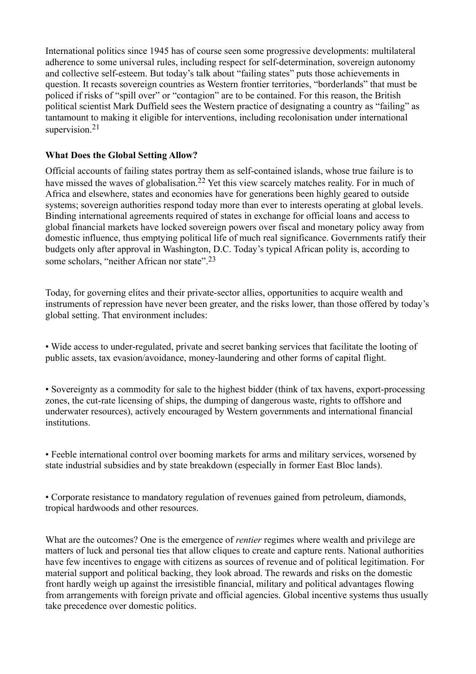International politics since 1945 has of course seen some progressive developments: multilateral adherence to some universal rules, including respect for self-determination, sovereign autonomy and collective self-esteem. But today's talk about "failing states" puts those achievements in question. It recasts sovereign countries as Western frontier territories, "borderlands" that must be policed if risks of "spill over" or "contagion" are to be contained. For this reason, the British political scientist Mark Duffield sees the Western practice of designating a country as "failing" as tantamount to making it eligible for interventions, including recolonisation under international supervision.<sup>21</sup>

### **What Does the Global Setting Allow?**

Official accounts of failing states portray them as self-contained islands, whose true failure is to have missed the waves of globalisation.<sup>22</sup> Yet this view scarcely matches reality. For in much of Africa and elsewhere, states and economies have for generations been highly geared to outside systems; sovereign authorities respond today more than ever to interests operating at global levels. Binding international agreements required of states in exchange for official loans and access to global financial markets have locked sovereign powers over fiscal and monetary policy away from domestic influence, thus emptying political life of much real significance. Governments ratify their budgets only after approval in Washington, D.C. Today's typical African polity is, according to some scholars, "neither African nor state".<sup>23</sup>

Today, for governing elites and their private-sector allies, opportunities to acquire wealth and instruments of repression have never been greater, and the risks lower, than those offered by today's global setting. That environment includes:

• Wide access to under-regulated, private and secret banking services that facilitate the looting of public assets, tax evasion/avoidance, money-laundering and other forms of capital flight.

• Sovereignty as a commodity for sale to the highest bidder (think of tax havens, export-processing zones, the cut-rate licensing of ships, the dumping of dangerous waste, rights to offshore and underwater resources), actively encouraged by Western governments and international financial institutions.

• Feeble international control over booming markets for arms and military services, worsened by state industrial subsidies and by state breakdown (especially in former East Bloc lands).

• Corporate resistance to mandatory regulation of revenues gained from petroleum, diamonds, tropical hardwoods and other resources.

What are the outcomes? One is the emergence of *rentier* regimes where wealth and privilege are matters of luck and personal ties that allow cliques to create and capture rents. National authorities have few incentives to engage with citizens as sources of revenue and of political legitimation. For material support and political backing, they look abroad. The rewards and risks on the domestic front hardly weigh up against the irresistible financial, military and political advantages flowing from arrangements with foreign private and official agencies. Global incentive systems thus usually take precedence over domestic politics.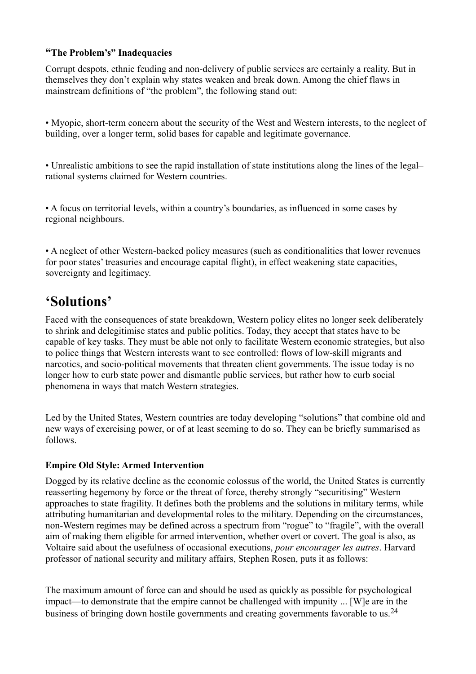# **"The Problem's" Inadequacies**

Corrupt despots, ethnic feuding and non-delivery of public services are certainly a reality. But in themselves they don't explain why states weaken and break down. Among the chief flaws in mainstream definitions of "the problem", the following stand out:

• Myopic, short-term concern about the security of the West and Western interests, to the neglect of building, over a longer term, solid bases for capable and legitimate governance.

• Unrealistic ambitions to see the rapid installation of state institutions along the lines of the legal– rational systems claimed for Western countries.

• A focus on territorial levels, within a country's boundaries, as influenced in some cases by regional neighbours.

• A neglect of other Western-backed policy measures (such as conditionalities that lower revenues for poor states' treasuries and encourage capital flight), in effect weakening state capacities, sovereignty and legitimacy.

# **'Solutions'**

Faced with the consequences of state breakdown, Western policy elites no longer seek deliberately to shrink and delegitimise states and public politics. Today, they accept that states have to be capable of key tasks. They must be able not only to facilitate Western economic strategies, but also to police things that Western interests want to see controlled: flows of low-skill migrants and narcotics, and socio-political movements that threaten client governments. The issue today is no longer how to curb state power and dismantle public services, but rather how to curb social phenomena in ways that match Western strategies.

Led by the United States, Western countries are today developing "solutions" that combine old and new ways of exercising power, or of at least seeming to do so. They can be briefly summarised as follows.

# **Empire Old Style: Armed Intervention**

Dogged by its relative decline as the economic colossus of the world, the United States is currently reasserting hegemony by force or the threat of force, thereby strongly "securitising" Western approaches to state fragility. It defines both the problems and the solutions in military terms, while attributing humanitarian and developmental roles to the military. Depending on the circumstances, non-Western regimes may be defined across a spectrum from "rogue" to "fragile", with the overall aim of making them eligible for armed intervention, whether overt or covert. The goal is also, as Voltaire said about the usefulness of occasional executions, *pour encourager les autres*. Harvard professor of national security and military affairs, Stephen Rosen, puts it as follows:

The maximum amount of force can and should be used as quickly as possible for psychological impact—to demonstrate that the empire cannot be challenged with impunity ... [W]e are in the business of bringing down hostile governments and creating governments favorable to us.<sup>24</sup>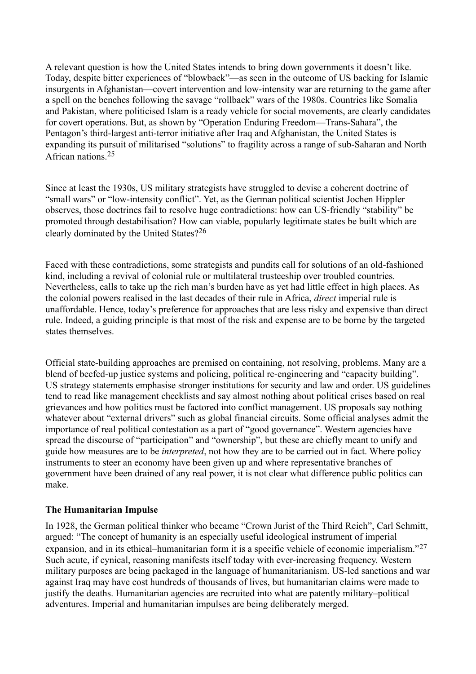A relevant question is how the United States intends to bring down governments it doesn't like. Today, despite bitter experiences of "blowback"—as seen in the outcome of US backing for Islamic insurgents in Afghanistan—covert intervention and low-intensity war are returning to the game after a spell on the benches following the savage "rollback" wars of the 1980s. Countries like Somalia and Pakistan, where politicised Islam is a ready vehicle for social movements, are clearly candidates for covert operations. But, as shown by "Operation Enduring Freedom—Trans-Sahara", the Pentagon's third-largest anti-terror initiative after Iraq and Afghanistan, the United States is expanding its pursuit of militarised "solutions" to fragility across a range of sub-Saharan and North African nations 25

Since at least the 1930s, US military strategists have struggled to devise a coherent doctrine of "small wars" or "low-intensity conflict". Yet, as the German political scientist Jochen Hippler observes, those doctrines fail to resolve huge contradictions: how can US-friendly "stability" be promoted through destabilisation? How can viable, popularly legitimate states be built which are clearly dominated by the United States?<sup>26</sup>

Faced with these contradictions, some strategists and pundits call for solutions of an old-fashioned kind, including a revival of colonial rule or multilateral trusteeship over troubled countries. Nevertheless, calls to take up the rich man's burden have as yet had little effect in high places. As the colonial powers realised in the last decades of their rule in Africa, *direct* imperial rule is unaffordable. Hence, today's preference for approaches that are less risky and expensive than direct rule. Indeed, a guiding principle is that most of the risk and expense are to be borne by the targeted states themselves.

Official state-building approaches are premised on containing, not resolving, problems. Many are a blend of beefed-up justice systems and policing, political re-engineering and "capacity building". US strategy statements emphasise stronger institutions for security and law and order. US guidelines tend to read like management checklists and say almost nothing about political crises based on real grievances and how politics must be factored into conflict management. US proposals say nothing whatever about "external drivers" such as global financial circuits. Some official analyses admit the importance of real political contestation as a part of "good governance". Western agencies have spread the discourse of "participation" and "ownership", but these are chiefly meant to unify and guide how measures are to be *interpreted*, not how they are to be carried out in fact. Where policy instruments to steer an economy have been given up and where representative branches of government have been drained of any real power, it is not clear what difference public politics can make.

#### **The Humanitarian Impulse**

In 1928, the German political thinker who became "Crown Jurist of the Third Reich", Carl Schmitt, argued: "The concept of humanity is an especially useful ideological instrument of imperial expansion, and in its ethical–humanitarian form it is a specific vehicle of economic imperialism."<sup>27</sup> Such acute, if cynical, reasoning manifests itself today with ever-increasing frequency. Western military purposes are being packaged in the language of humanitarianism. US-led sanctions and war against Iraq may have cost hundreds of thousands of lives, but humanitarian claims were made to justify the deaths. Humanitarian agencies are recruited into what are patently military–political adventures. Imperial and humanitarian impulses are being deliberately merged.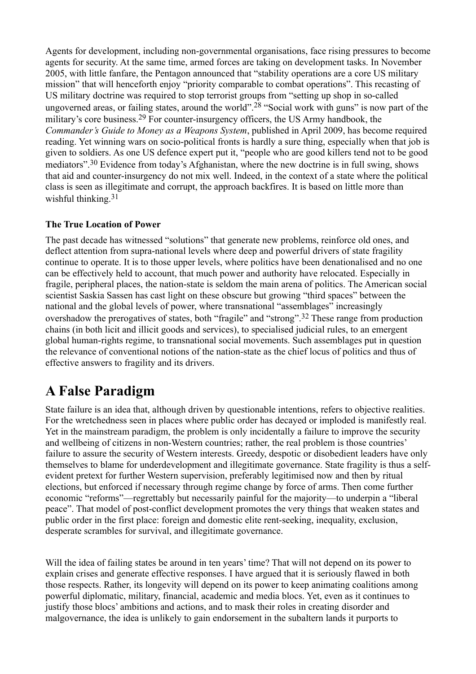Agents for development, including non-governmental organisations, face rising pressures to become agents for security. At the same time, armed forces are taking on development tasks. In November 2005, with little fanfare, the Pentagon announced that "stability operations are a core US military mission" that will henceforth enjoy "priority comparable to combat operations". This recasting of US military doctrine was required to stop terrorist groups from "setting up shop in so-called ungoverned areas, or failing states, around the world".<sup>28</sup> "Social work with guns" is now part of the military's core business.<sup>29</sup> For counter-insurgency officers, the US Army handbook, the *Commander's Guide to Money as a Weapons System*, published in April 2009, has become required reading. Yet winning wars on socio-political fronts is hardly a sure thing, especially when that job is given to soldiers. As one US defence expert put it, "people who are good killers tend not to be good mediators".30 Evidence from today's Afghanistan, where the new doctrine is in full swing, shows that aid and counter-insurgency do not mix well. Indeed, in the context of a state where the political class is seen as illegitimate and corrupt, the approach backfires. It is based on little more than wishful thinking.<sup>31</sup>

# **The True Location of Power**

The past decade has witnessed "solutions" that generate new problems, reinforce old ones, and deflect attention from supra-national levels where deep and powerful drivers of state fragility continue to operate. It is to those upper levels, where politics have been denationalised and no one can be effectively held to account, that much power and authority have relocated. Especially in fragile, peripheral places, the nation-state is seldom the main arena of politics. The American social scientist Saskia Sassen has cast light on these obscure but growing "third spaces" between the national and the global levels of power, where transnational "assemblages" increasingly overshadow the prerogatives of states, both "fragile" and "strong".32 These range from production chains (in both licit and illicit goods and services), to specialised judicial rules, to an emergent global human-rights regime, to transnational social movements. Such assemblages put in question the relevance of conventional notions of the nation-state as the chief locus of politics and thus of effective answers to fragility and its drivers.

# **A False Paradigm**

State failure is an idea that, although driven by questionable intentions, refers to objective realities. For the wretchedness seen in places where public order has decayed or imploded is manifestly real. Yet in the mainstream paradigm, the problem is only incidentally a failure to improve the security and wellbeing of citizens in non-Western countries; rather, the real problem is those countries' failure to assure the security of Western interests. Greedy, despotic or disobedient leaders have only themselves to blame for underdevelopment and illegitimate governance. State fragility is thus a selfevident pretext for further Western supervision, preferably legitimised now and then by ritual elections, but enforced if necessary through regime change by force of arms. Then come further economic "reforms"—regrettably but necessarily painful for the majority—to underpin a "liberal peace". That model of post-conflict development promotes the very things that weaken states and public order in the first place: foreign and domestic elite rent-seeking, inequality, exclusion, desperate scrambles for survival, and illegitimate governance.

Will the idea of failing states be around in ten years' time? That will not depend on its power to explain crises and generate effective responses. I have argued that it is seriously flawed in both those respects. Rather, its longevity will depend on its power to keep animating coalitions among powerful diplomatic, military, financial, academic and media blocs. Yet, even as it continues to justify those blocs' ambitions and actions, and to mask their roles in creating disorder and malgovernance, the idea is unlikely to gain endorsement in the subaltern lands it purports to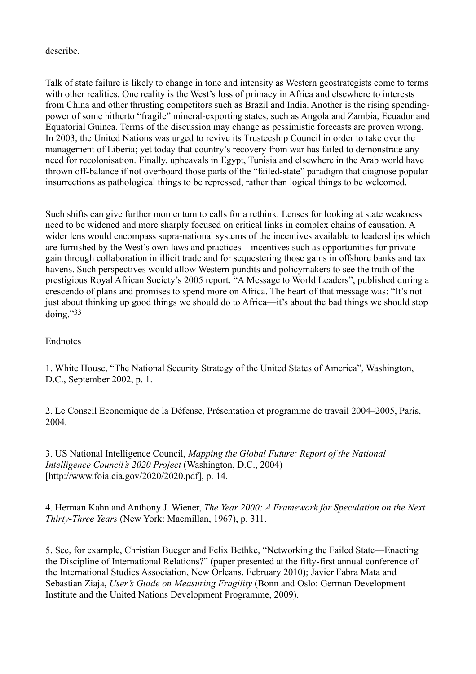describe.

Talk of state failure is likely to change in tone and intensity as Western geostrategists come to terms with other realities. One reality is the West's loss of primacy in Africa and elsewhere to interests from China and other thrusting competitors such as Brazil and India. Another is the rising spendingpower of some hitherto "fragile" mineral-exporting states, such as Angola and Zambia, Ecuador and Equatorial Guinea. Terms of the discussion may change as pessimistic forecasts are proven wrong. In 2003, the United Nations was urged to revive its Trusteeship Council in order to take over the management of Liberia; yet today that country's recovery from war has failed to demonstrate any need for recolonisation. Finally, upheavals in Egypt, Tunisia and elsewhere in the Arab world have thrown off-balance if not overboard those parts of the "failed-state" paradigm that diagnose popular insurrections as pathological things to be repressed, rather than logical things to be welcomed.

Such shifts can give further momentum to calls for a rethink. Lenses for looking at state weakness need to be widened and more sharply focused on critical links in complex chains of causation. A wider lens would encompass supra-national systems of the incentives available to leaderships which are furnished by the West's own laws and practices—incentives such as opportunities for private gain through collaboration in illicit trade and for sequestering those gains in offshore banks and tax havens. Such perspectives would allow Western pundits and policymakers to see the truth of the prestigious Royal African Society's 2005 report, "A Message to World Leaders", published during a crescendo of plans and promises to spend more on Africa. The heart of that message was: "It's not just about thinking up good things we should do to Africa—it's about the bad things we should stop doing."<sup>33</sup>

#### Endnotes

1. White House, "The National Security Strategy of the United States of America", Washington, D.C., September 2002, p. 1.

2. Le Conseil Economique de la Défense, Présentation et programme de travail 2004–2005, Paris, 2004.

3. US National Intelligence Council, *Mapping the Global Future: Report of the National Intelligence Council's 2020 Project* (Washington, D.C., 2004) [http://www.foia.cia.gov/2020/2020.pdf], p. 14.

4. Herman Kahn and Anthony J. Wiener, *The Year 2000: A Framework for Speculation on the Next Thirty-Three Years* (New York: Macmillan, 1967), p. 311.

5. See, for example, Christian Bueger and Felix Bethke, "Networking the Failed State—Enacting the Discipline of International Relations?" (paper presented at the fifty-first annual conference of the International Studies Association, New Orleans, February 2010); Javier Fabra Mata and Sebastian Ziaja, *User's Guide on Measuring Fragility* (Bonn and Oslo: German Development Institute and the United Nations Development Programme, 2009).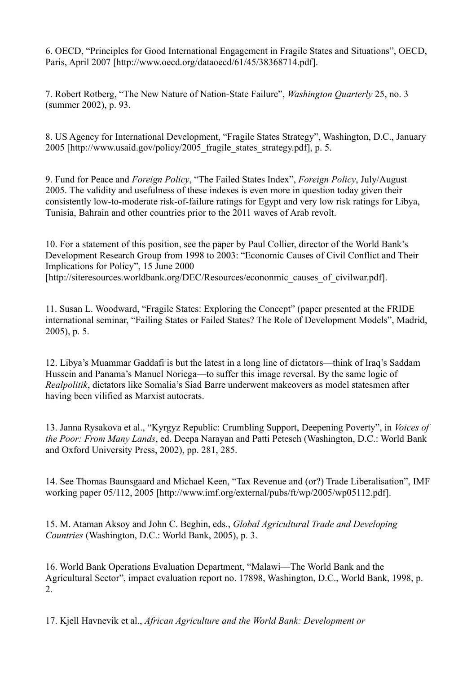6. OECD, "Principles for Good International Engagement in Fragile States and Situations", OECD, Paris, April 2007 [http://www.oecd.org/dataoecd/61/45/38368714.pdf].

7. Robert Rotberg, "The New Nature of Nation-State Failure", *Washington Quarterly* 25, no. 3 (summer 2002), p. 93.

8. US Agency for International Development, "Fragile States Strategy", Washington, D.C., January 2005 [http://www.usaid.gov/policy/2005\_fragile\_states\_strategy.pdf], p. 5.

9. Fund for Peace and *Foreign Policy*, "The Failed States Index", *Foreign Policy*, July/August 2005. The validity and usefulness of these indexes is even more in question today given their consistently low-to-moderate risk-of-failure ratings for Egypt and very low risk ratings for Libya, Tunisia, Bahrain and other countries prior to the 2011 waves of Arab revolt.

10. For a statement of this position, see the paper by Paul Collier, director of the World Bank's Development Research Group from 1998 to 2003: "Economic Causes of Civil Conflict and Their Implications for Policy", 15 June 2000 [http://siteresources.worldbank.org/DEC/Resources/econonmic\_causes\_of\_civilwar.pdf].

11. Susan L. Woodward, "Fragile States: Exploring the Concept" (paper presented at the FRIDE international seminar, "Failing States or Failed States? The Role of Development Models", Madrid, 2005), p. 5.

12. Libya's Muammar Gaddafi is but the latest in a long line of dictators—think of Iraq's Saddam Hussein and Panama's Manuel Noriega—to suffer this image reversal. By the same logic of *Realpolitik*, dictators like Somalia's Siad Barre underwent makeovers as model statesmen after having been vilified as Marxist autocrats.

13. Janna Rysakova et al., "Kyrgyz Republic: Crumbling Support, Deepening Poverty", in *Voices of the Poor: From Many Lands*, ed. Deepa Narayan and Patti Petesch (Washington, D.C.: World Bank and Oxford University Press, 2002), pp. 281, 285.

14. See Thomas Baunsgaard and Michael Keen, "Tax Revenue and (or?) Trade Liberalisation", IMF working paper 05/112, 2005 [http://www.imf.org/external/pubs/ft/wp/2005/wp05112.pdf].

15. M. Ataman Aksoy and John C. Beghin, eds., *Global Agricultural Trade and Developing Countries* (Washington, D.C.: World Bank, 2005), p. 3.

16. World Bank Operations Evaluation Department, "Malawi—The World Bank and the Agricultural Sector", impact evaluation report no. 17898, Washington, D.C., World Bank, 1998, p. 2.

17. Kjell Havnevik et al., *African Agriculture and the World Bank: Development or*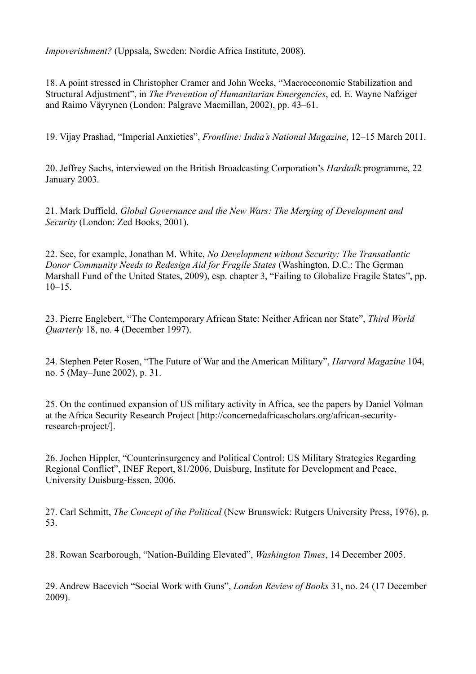*Impoverishment?* (Uppsala, Sweden: Nordic Africa Institute, 2008).

18. A point stressed in Christopher Cramer and John Weeks, "Macroeconomic Stabilization and Structural Adjustment", in *The Prevention of Humanitarian Emergencies*, ed. E. Wayne Nafziger and Raimo Väyrynen (London: Palgrave Macmillan, 2002), pp. 43–61.

19. Vijay Prashad, "Imperial Anxieties", *Frontline: India's National Magazine*, 12–15 March 2011.

20. Jeffrey Sachs, interviewed on the British Broadcasting Corporation's *Hardtalk* programme, 22 January 2003.

21. Mark Duffield, *Global Governance and the New Wars: The Merging of Development and Security* (London: Zed Books, 2001).

22. See, for example, Jonathan M. White, *No Development without Security: The Transatlantic Donor Community Needs to Redesign Aid for Fragile States* (Washington, D.C.: The German Marshall Fund of the United States, 2009), esp. chapter 3, "Failing to Globalize Fragile States", pp.  $10-15$ 

23. Pierre Englebert, "The Contemporary African State: Neither African nor State", *Third World Quarterly* 18, no. 4 (December 1997).

24. Stephen Peter Rosen, "The Future of War and the American Military", *Harvard Magazine* 104, no. 5 (May–June 2002), p. 31.

25. On the continued expansion of US military activity in Africa, see the papers by Daniel Volman at the Africa Security Research Project [http://concernedafricascholars.org/african-securityresearch-project/].

26. Jochen Hippler, "Counterinsurgency and Political Control: US Military Strategies Regarding Regional Conflict", INEF Report, 81/2006, Duisburg, Institute for Development and Peace, University Duisburg-Essen, 2006.

27. Carl Schmitt, *The Concept of the Political* (New Brunswick: Rutgers University Press, 1976), p. 53.

28. Rowan Scarborough, "Nation-Building Elevated", *Washington Times*, 14 December 2005.

29. Andrew Bacevich "Social Work with Guns", *London Review of Books* 31, no. 24 (17 December 2009).